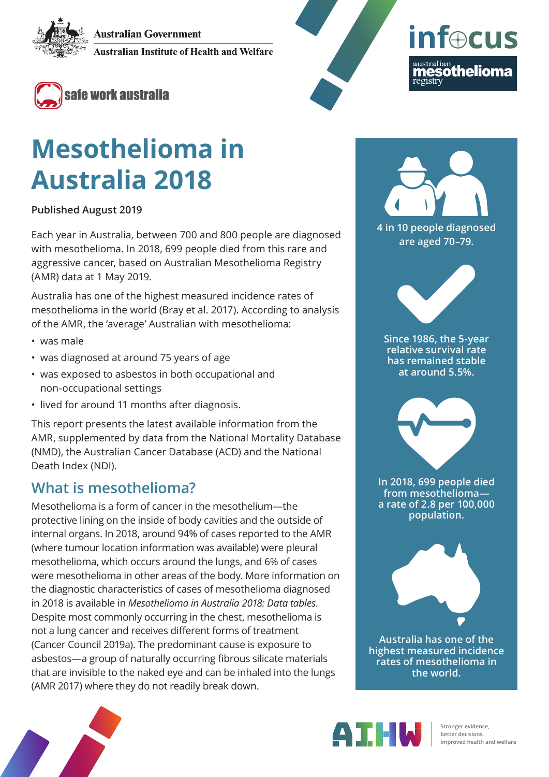**Australian Government** 

**Australian Institute of Health and Welfare** 



# **Mesothelioma in Australia 2018**

**Published August 2019**

Each year in Australia, between 700 and 800 people are diagnosed with mesothelioma. In 2018, 699 people died from this rare and aggressive cancer, based on Australian Mesothelioma Registry (AMR) data at 1 May 2019.

Australia has one of the highest measured incidence rates of mesothelioma in the world (Bray et al. 2017). According to analysis of the AMR, the 'average' Australian with mesothelioma:

- was male
- was diagnosed at around 75 years of age
- was exposed to asbestos in both occupational and non-occupational settings
- lived for around 11 months after diagnosis.

This report presents the latest available information from the AMR, supplemented by data from the National Mortality Database (NMD), the Australian Cancer Database (ACD) and the National Death Index (NDI).

### **What is mesothelioma?**

Mesothelioma is a form of cancer in the mesothelium—the protective lining on the inside of body cavities and the outside of internal organs. In 2018, around 94% of cases reported to the AMR (where tumour location information was available) were pleural mesothelioma, which occurs around the lungs, and 6% of cases were mesothelioma in other areas of the body. More information on the diagnostic characteristics of cases of mesothelioma diagnosed in 2018 is available in *[Mesothelioma in Australia 2018: Data tables](https://www.aihw.gov.au/reports/cancer/mesothelioma-in-australia-2018/data)*. Despite most commonly occurring in the chest, mesothelioma is not a lung cancer and receives different forms of treatment (Cancer Council 2019a). The predominant cause is exposure to asbestos—a group of naturally occurring fibrous silicate materials that are invisible to the naked eye and can be inhaled into the lungs (AMR 2017) where they do not readily break down.



**inf**ocus

australian<br>**mesothelioma** 

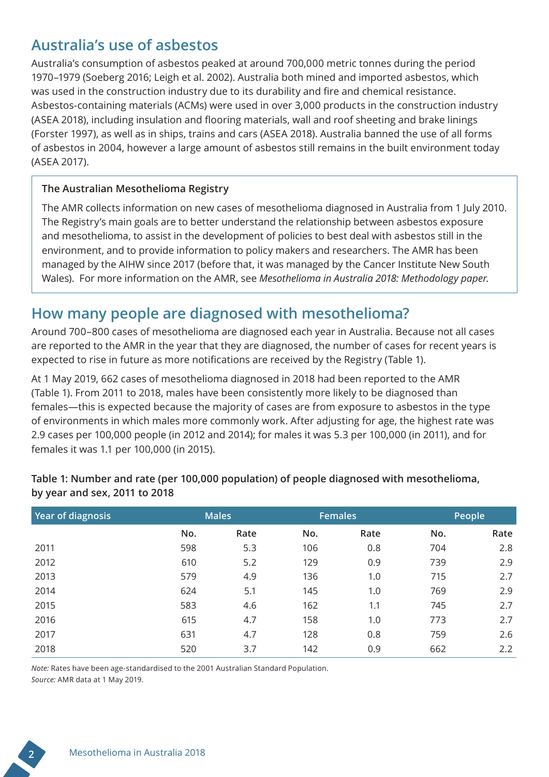### **Australia's use of asbestos**

Australia's consumption of asbestos peaked at around 700,000 metric tonnes during the period 1970–1979 (Soeberg 2016; Leigh et al. 2002). Australia both mined and imported asbestos, which was used in the construction industry due to its durability and fire and chemical resistance. Asbestos-containing materials (ACMs) were used in over 3,000 products in the construction industry (ASEA 2018), including insulation and flooring materials, wall and roof sheeting and brake linings (Forster 1997), as well as in ships, trains and cars (ASEA 2018). Australia banned the use of all forms of asbestos in 2004, however a large amount of asbestos still remains in the built environment today (ASEA 2017).

#### **The Australian Mesothelioma Registry**

The AMR collects information on new cases of mesothelioma diagnosed in Australia from 1 July 2010. The Registry's main goals are to better understand the relationship between asbestos exposure and mesothelioma, to assist in the development of policies to best deal with asbestos still in the environment, and to provide information to policy makers and researchers. The AMR has been managed by the AIHW since 2017 (before that, it was managed by the Cancer Institute New South Wales). For more information on the AMR, see *[Mesothelioma in Australia 2018: Methodology paper](https://www.aihw.gov.au/reports/cancer/mesothelioma-in-australia-2018/related-material)*.

### **How many people are diagnosed with mesothelioma?**

Around 700–800 cases of mesothelioma are diagnosed each year in Australia. Because not all cases are reported to the AMR in the year that they are diagnosed, the number of cases for recent years is expected to rise in future as more notifications are received by the Registry (Table 1).

At 1 May 2019, 662 cases of mesothelioma diagnosed in 2018 had been reported to the AMR (Table 1). From 2011 to 2018, males have been consistently more likely to be diagnosed than females—this is expected because the majority of cases are from exposure to asbestos in the type of environments in which males more commonly work. After adjusting for age, the highest rate was 2.9 cases per 100,000 people (in 2012 and 2014); for males it was 5.3 per 100,000 (in 2011), and for females it was 1.1 per 100,000 (in 2015).

| Year of diagnosis | <b>Males</b> |      | <b>Females</b> |      | People |      |  |
|-------------------|--------------|------|----------------|------|--------|------|--|
|                   | No.          | Rate | No.            | Rate | No.    | Rate |  |
| 2011              | 598          | 5.3  | 106            | 0.8  | 704    | 2.8  |  |
| 2012              | 610          | 5.2  | 129            | 0.9  | 739    | 2.9  |  |
| 2013              | 579          | 4.9  | 136            | 1.0  | 715    | 2.7  |  |
| 2014              | 624          | 5.1  | 145            | 1.0  | 769    | 2.9  |  |
| 2015              | 583          | 4.6  | 162            | 1.1  | 745    | 2.7  |  |
| 2016              | 615          | 4.7  | 158            | 1.0  | 773    | 2.7  |  |
| 2017              | 631          | 4.7  | 128            | 0.8  | 759    | 2.6  |  |
| 2018              | 520          | 3.7  | 142            | 0.9  | 662    | 2.2  |  |

#### **Table 1: Number and rate (per 100,000 population) of people diagnosed with mesothelioma, by year and sex, 2011 to 2018**

*Note:* Rates have been age-standardised to the 2001 Australian Standard Population. *Source:* AMR data at 1 May 2019.

**2** Mesothelioma in Australia 2018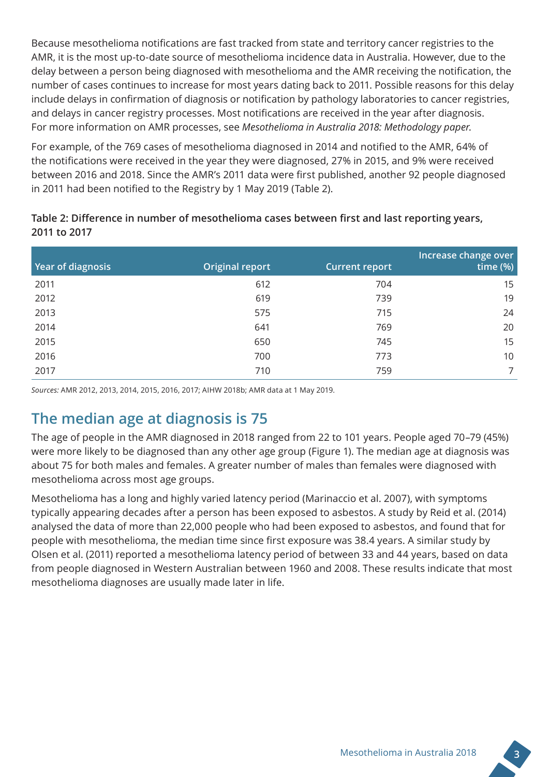Because mesothelioma notifications are fast tracked from state and territory cancer registries to the AMR, it is the most up-to-date source of mesothelioma incidence data in Australia. However, due to the delay between a person being diagnosed with mesothelioma and the AMR receiving the notification, the number of cases continues to increase for most years dating back to 2011. Possible reasons for this delay include delays in confirmation of diagnosis or notification by pathology laboratories to cancer registries, and delays in cancer registry processes. Most notifications are received in the year after diagnosis. For more information on AMR processes, see *[Mesothelioma in Australia 2018: Methodology paper](https://www.aihw.gov.au/reports/cancer/mesothelioma-in-australia-2018/related-material)*.

For example, of the 769 cases of mesothelioma diagnosed in 2014 and notified to the AMR, 64% of the notifications were received in the year they were diagnosed, 27% in 2015, and 9% were received between 2016 and 2018. Since the AMR's 2011 data were first published, another 92 people diagnosed in 2011 had been notified to the Registry by 1 May 2019 (Table 2).

#### **Table 2: Difference in number of mesothelioma cases between first and last reporting years, 2011 to 2017**

| Year of diagnosis | <b>Original report</b> | <b>Current report</b> | Increase change over<br>time $(\%)$ |
|-------------------|------------------------|-----------------------|-------------------------------------|
| 2011              | 612                    | 704                   | 15                                  |
| 2012              | 619                    | 739                   | 19                                  |
| 2013              | 575                    | 715                   | 24                                  |
| 2014              | 641                    | 769                   | 20                                  |
| 2015              | 650                    | 745                   | 15                                  |
| 2016              | 700                    | 773                   | 10                                  |
| 2017              | 710                    | 759                   | 7                                   |

*Sources:* AMR 2012, 2013, 2014, 2015, 2016, 2017; AIHW 2018b; AMR data at 1 May 2019.

### **The median age at diagnosis is 75**

The age of people in the AMR diagnosed in 2018 ranged from 22 to 101 years. People aged 70–79 (45%) were more likely to be diagnosed than any other age group (Figure 1). The median age at diagnosis was about 75 for both males and females. A greater number of males than females were diagnosed with mesothelioma across most age groups.

Mesothelioma has a long and highly varied latency period (Marinaccio et al. 2007), with symptoms typically appearing decades after a person has been exposed to asbestos. A study by Reid et al. (2014) analysed the data of more than 22,000 people who had been exposed to asbestos, and found that for people with mesothelioma, the median time since first exposure was 38.4 years. A similar study by Olsen et al. (2011) reported a mesothelioma latency period of between 33 and 44 years, based on data from people diagnosed in Western Australian between 1960 and 2008. These results indicate that most mesothelioma diagnoses are usually made later in life.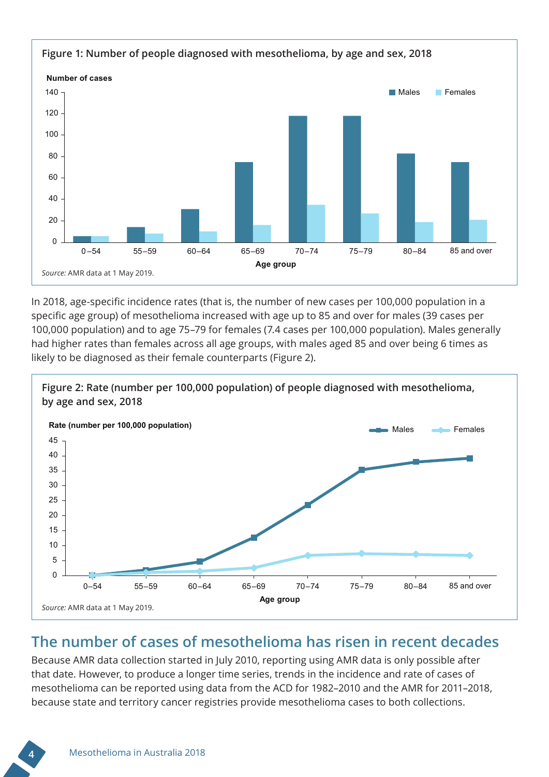

In 2018, age-specific incidence rates (that is, the number of new cases per 100,000 population in a specific age group) of mesothelioma increased with age up to 85 and over for males (39 cases per 100,000 population) and to age 75–79 for females (7.4 cases per 100,000 population). Males generally had higher rates than females across all age groups, with males aged 85 and over being 6 times as likely to be diagnosed as their female counterparts (Figure 2).



### **The number of cases of mesothelioma has risen in recent decades**

Because AMR data collection started in July 2010, reporting using AMR data is only possible after that date. However, to produce a longer time series, trends in the incidence and rate of cases of mesothelioma can be reported using data from the ACD for 1982–2010 and the AMR for 2011–2018, because state and territory cancer registries provide mesothelioma cases to both collections.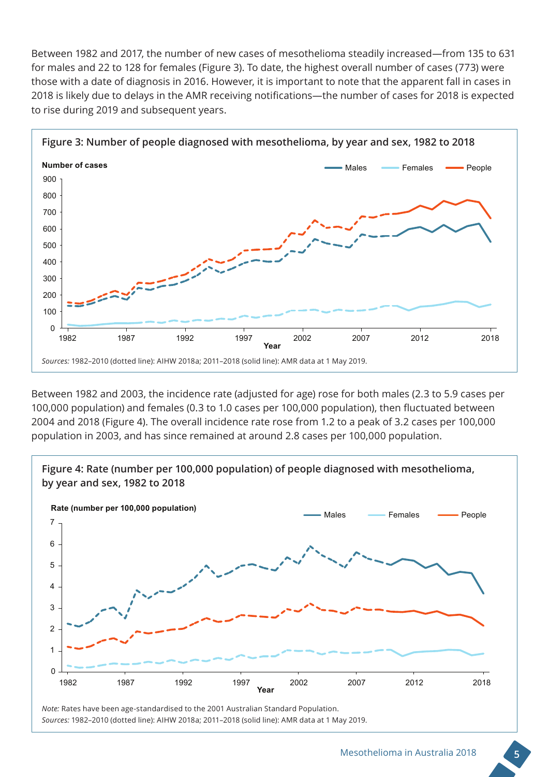Between 1982 and 2017, the number of new cases of mesothelioma steadily increased—from 135 to 631 for males and 22 to 128 for females (Figure 3). To date, the highest overall number of cases (773) were those with a date of diagnosis in 2016. However, it is important to note that the apparent fall in cases in 2018 is likely due to delays in the AMR receiving notifications—the number of cases for 2018 is expected to rise during 2019 and subsequent years.



Between 1982 and 2003, the incidence rate (adjusted for age) rose for both males (2.3 to 5.9 cases per 100,000 population) and females (0.3 to 1.0 cases per 100,000 population), then fluctuated between 2004 and 2018 (Figure 4). The overall incidence rate rose from 1.2 to a peak of 3.2 cases per 100,000 population in 2003, and has since remained at around 2.8 cases per 100,000 population.



*Note:* Rates have been age-standardised to the 2001 Australian Standard Population. *Sources:* 1982–2010 (dotted line): AIHW 2018a; 2011–2018 (solid line): AMR data at 1 May 2019.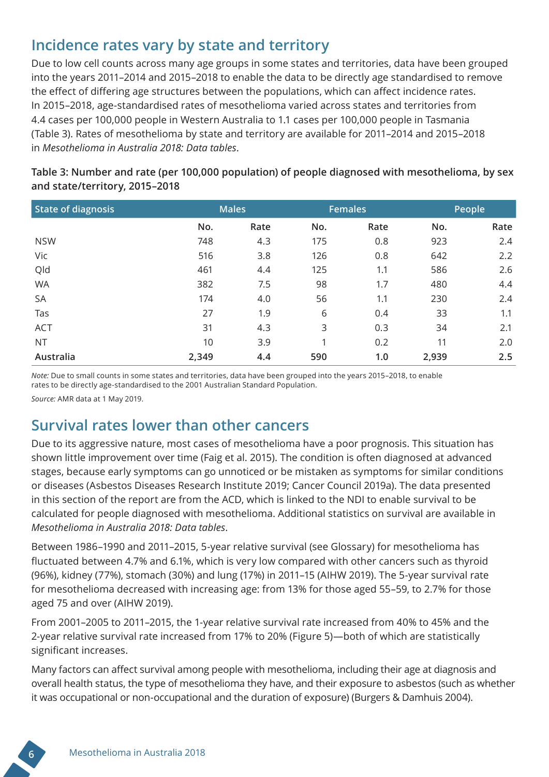### **Incidence rates vary by state and territory**

Due to low cell counts across many age groups in some states and territories, data have been grouped into the years 2011–2014 and 2015–2018 to enable the data to be directly age standardised to remove the effect of differing age structures between the populations, which can affect incidence rates. In 2015–2018, age-standardised rates of mesothelioma varied across states and territories from 4.4 cases per 100,000 people in Western Australia to 1.1 cases per 100,000 people in Tasmania (Table 3). Rates of mesothelioma by state and territory are available for 2011–2014 and 2015–2018 in *[Mesothelioma in Australia 2018: Data tables](https://www.aihw.gov.au/reports/cancer/mesothelioma-in-australia-2018/data)*.

| <b>State of diagnosis</b> | <b>Males</b> |      | <b>Females</b> |      | People |      |  |
|---------------------------|--------------|------|----------------|------|--------|------|--|
|                           | No.          | Rate | No.            | Rate | No.    | Rate |  |
| <b>NSW</b>                | 748          | 4.3  | 175            | 0.8  | 923    | 2.4  |  |
| Vic                       | 516          | 3.8  | 126            | 0.8  | 642    | 2.2  |  |
| Qld                       | 461          | 4.4  | 125            | 1.1  | 586    | 2.6  |  |
| <b>WA</b>                 | 382          | 7.5  | 98             | 1.7  | 480    | 4.4  |  |
| SA                        | 174          | 4.0  | 56             | 1.1  | 230    | 2.4  |  |
| Tas                       | 27           | 1.9  | 6              | 0.4  | 33     | 1.1  |  |
| <b>ACT</b>                | 31           | 4.3  | 3              | 0.3  | 34     | 2.1  |  |
| <b>NT</b>                 | 10           | 3.9  | 1              | 0.2  | 11     | 2.0  |  |
| Australia                 | 2,349        | 4.4  | 590            | 1.0  | 2,939  | 2.5  |  |

#### **Table 3: Number and rate (per 100,000 population) of people diagnosed with mesothelioma, by sex and state/territory, 2015–2018**

*Note:* Due to small counts in some states and territories, data have been grouped into the years 2015–2018, to enable rates to be directly age-standardised to the 2001 Australian Standard Population.

*Source:* AMR data at 1 May 2019.

### **Survival rates lower than other cancers**

Due to its aggressive nature, most cases of mesothelioma have a poor prognosis. This situation has shown little improvement over time (Faig et al. 2015). The condition is often diagnosed at advanced stages, because early symptoms can go unnoticed or be mistaken as symptoms for similar conditions or diseases (Asbestos Diseases Research Institute 2019; Cancer Council 2019a). The data presented in this section of the report are from the ACD, which is linked to the NDI to enable survival to be calculated for people diagnosed with mesothelioma. Additional statistics on survival are available in *[Mesothelioma in Australia 2018: Data tables](https://www.aihw.gov.au/reports/cancer/mesothelioma-in-australia-2018/data)*.

Between 1986–1990 and 2011–2015, 5-year relative survival (see Glossary) for mesothelioma has fluctuated between 4.7% and 6.1%, which is very low compared with other cancers such as thyroid (96%), kidney (77%), stomach (30%) and lung (17%) in 2011–15 (AIHW 2019). The 5-year survival rate for mesothelioma decreased with increasing age: from 13% for those aged 55–59, to 2.7% for those aged 75 and over (AIHW 2019).

From 2001–2005 to 2011–2015, the 1-year relative survival rate increased from 40% to 45% and the 2-year relative survival rate increased from 17% to 20% (Figure 5)—both of which are statistically significant increases.

Many factors can affect survival among people with mesothelioma, including their age at diagnosis and overall health status, the type of mesothelioma they have, and their exposure to asbestos (such as whether it was occupational or non-occupational and the duration of exposure) (Burgers & Damhuis 2004).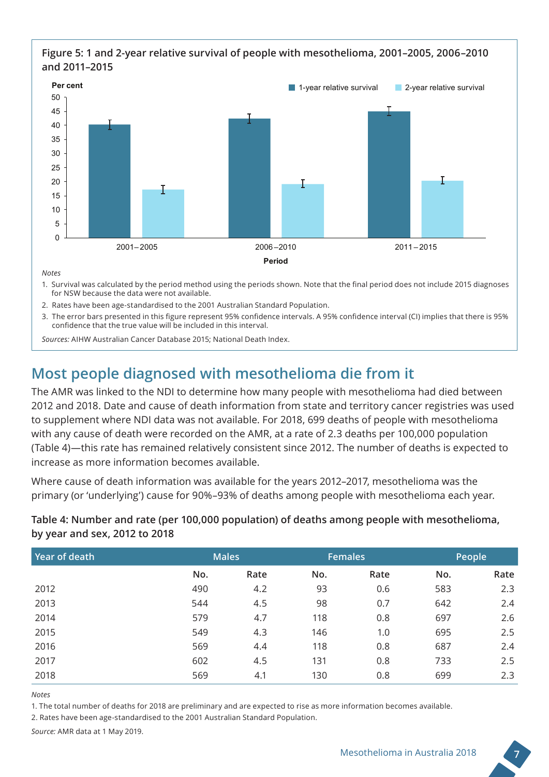#### **Figure 5: 1 and 2-year relative survival of people with mesothelioma, 2001–2005, 2006–2010 and 2011–2015**



*Notes*

- 1. Survival was calculated by the period method using the periods shown. Note that the final period does not include 2015 diagnoses for NSW because the data were not available.
- 2. Rates have been age-standardised to the 2001 Australian Standard Population.
- 3. The error bars presented in this figure represent 95% confidence intervals. A 95% confidence interval (CI) implies that there is 95% confidence that the true value will be included in this interval.

*Sources:* AIHW Australian Cancer Database 2015; National Death Index.

# **Most people diagnosed with mesothelioma die from it**

The AMR was linked to the NDI to determine how many people with mesothelioma had died between 2012 and 2018. Date and cause of death information from state and territory cancer registries was used to supplement where NDI data was not available. For 2018, 699 deaths of people with mesothelioma with any cause of death were recorded on the AMR, at a rate of 2.3 deaths per 100,000 population (Table 4)—this rate has remained relatively consistent since 2012. The number of deaths is expected to increase as more information becomes available.

Where cause of death information was available for the years 2012–2017, mesothelioma was the primary (or 'underlying') cause for 90%–93% of deaths among people with mesothelioma each year.

#### **Table 4: Number and rate (per 100,000 population) of deaths among people with mesothelioma, by year and sex, 2012 to 2018**

| Year of death | <b>Males</b> |      | <b>Females</b> |      | People |      |
|---------------|--------------|------|----------------|------|--------|------|
|               | No.          | Rate | No.            | Rate | No.    | Rate |
| 2012          | 490          | 4.2  | 93             | 0.6  | 583    | 2.3  |
| 2013          | 544          | 4.5  | 98             | 0.7  | 642    | 2.4  |
| 2014          | 579          | 4.7  | 118            | 0.8  | 697    | 2.6  |
| 2015          | 549          | 4.3  | 146            | 1.0  | 695    | 2.5  |
| 2016          | 569          | 4.4  | 118            | 0.8  | 687    | 2.4  |
| 2017          | 602          | 4.5  | 131            | 0.8  | 733    | 2.5  |
| 2018          | 569          | 4.1  | 130            | 0.8  | 699    | 2.3  |

*Notes*

1. The total number of deaths for 2018 are preliminary and are expected to rise as more information becomes available.

2. Rates have been age-standardised to the 2001 Australian Standard Population.

*Source:* AMR data at 1 May 2019.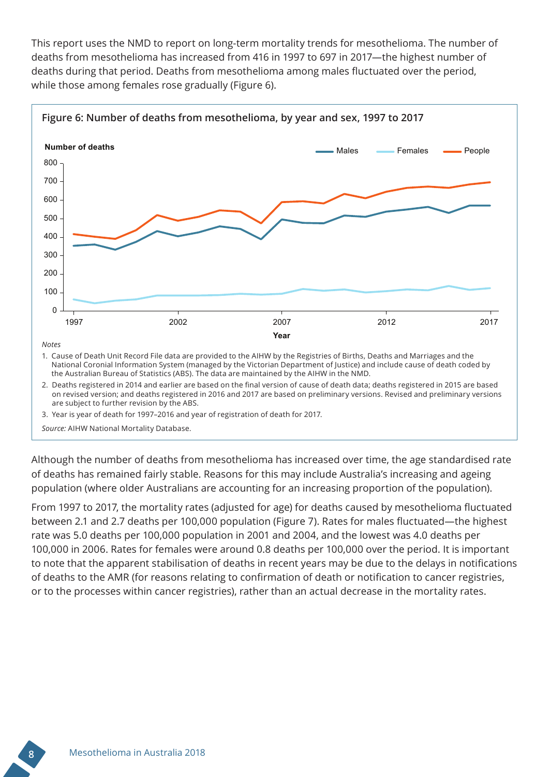This report uses the NMD to report on long-term mortality trends for mesothelioma. The number of deaths from mesothelioma has increased from 416 in 1997 to 697 in 2017—the highest number of deaths during that period. Deaths from mesothelioma among males fluctuated over the period, while those among females rose gradually (Figure 6).



on revised version; and deaths registered in 2016 and 2017 are based on preliminary versions. Revised and preliminary versions are subject to further revision by the ABS.

3. Year is year of death for 1997–2016 and year of registration of death for 2017.

*Source:* AIHW National Mortality Database.

Although the number of deaths from mesothelioma has increased over time, the age standardised rate of deaths has remained fairly stable. Reasons for this may include Australia's increasing and ageing population (where older Australians are accounting for an increasing proportion of the population).

From 1997 to 2017, the mortality rates (adjusted for age) for deaths caused by mesothelioma fluctuated between 2.1 and 2.7 deaths per 100,000 population (Figure 7). Rates for males fluctuated—the highest rate was 5.0 deaths per 100,000 population in 2001 and 2004, and the lowest was 4.0 deaths per 100,000 in 2006. Rates for females were around 0.8 deaths per 100,000 over the period. It is important to note that the apparent stabilisation of deaths in recent years may be due to the delays in notifications of deaths to the AMR (for reasons relating to confirmation of death or notification to cancer registries, or to the processes within cancer registries), rather than an actual decrease in the mortality rates.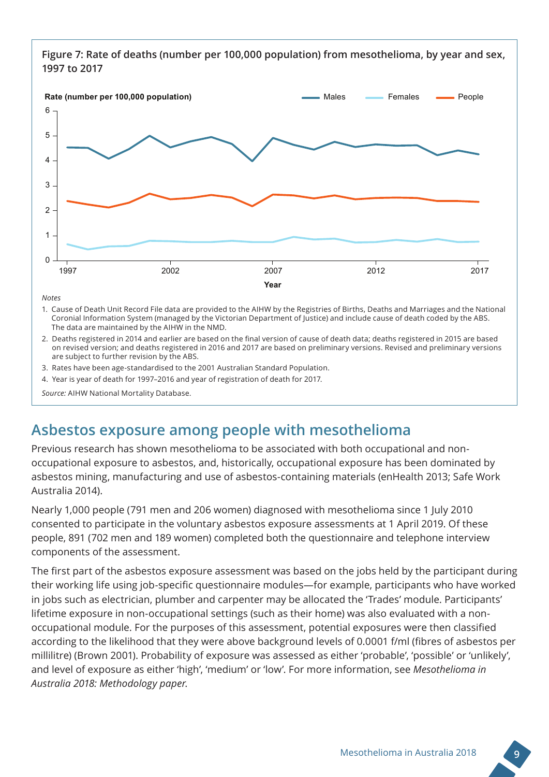

**Figure 7: Rate of deaths (number per 100,000 population) from mesothelioma, by year and sex, 1997 to 2017**

*Notes*

- 1. Cause of Death Unit Record File data are provided to the AIHW by the Registries of Births, Deaths and Marriages and the National Coronial Information System (managed by the Victorian Department of Justice) and include cause of death coded by the ABS. The data are maintained by the AIHW in the NMD.
- 2. Deaths registered in 2014 and earlier are based on the final version of cause of death data; deaths registered in 2015 are based on revised version; and deaths registered in 2016 and 2017 are based on preliminary versions. Revised and preliminary versions are subject to further revision by the ABS.
- 3. Rates have been age-standardised to the 2001 Australian Standard Population.
- 4. Year is year of death for 1997–2016 and year of registration of death for 2017.

*Source:* AIHW National Mortality Database.

# **Asbestos exposure among people with mesothelioma**

Previous research has shown mesothelioma to be associated with both occupational and nonoccupational exposure to asbestos, and, historically, occupational exposure has been dominated by asbestos mining, manufacturing and use of asbestos-containing materials (enHealth 2013; Safe Work Australia 2014).

Nearly 1,000 people (791 men and 206 women) diagnosed with mesothelioma since 1 July 2010 consented to participate in the voluntary asbestos exposure assessments at 1 April 2019. Of these people, 891 (702 men and 189 women) completed both the questionnaire and telephone interview components of the assessment.

The first part of the asbestos exposure assessment was based on the jobs held by the participant during their working life using job-specific questionnaire modules—for example, participants who have worked in jobs such as electrician, plumber and carpenter may be allocated the 'Trades' module. Participants' lifetime exposure in non-occupational settings (such as their home) was also evaluated with a nonoccupational module. For the purposes of this assessment, potential exposures were then classified according to the likelihood that they were above background levels of 0.0001 f/ml (fibres of asbestos per millilitre) (Brown 2001). Probability of exposure was assessed as either 'probable', 'possible' or 'unlikely', and level of exposure as either 'high', 'medium' or 'low'. For more information, see *[Mesothelioma in](https://www.aihw.gov.au/reports/cancer/mesothelioma-in-australia-2018/related-material)  [Australia 2018: Methodology paper](https://www.aihw.gov.au/reports/cancer/mesothelioma-in-australia-2018/related-material)*.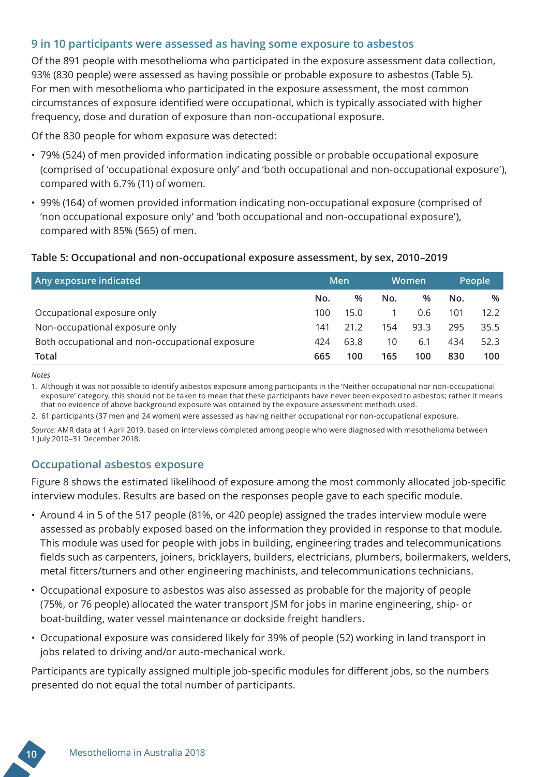#### **9 in 10 participants were assessed as having some exposure to asbestos**

Of the 891 people with mesothelioma who participated in the exposure assessment data collection, 93% (830 people) were assessed as having possible or probable exposure to asbestos (Table 5). For men with mesothelioma who participated in the exposure assessment, the most common circumstances of exposure identified were occupational, which is typically associated with higher frequency, dose and duration of exposure than non-occupational exposure.

Of the 830 people for whom exposure was detected:

- 79% (524) of men provided information indicating possible or probable occupational exposure (comprised of 'occupational exposure only' and 'both occupational and non-occupational exposure'), compared with 6.7% (11) of women.
- 99% (164) of women provided information indicating non-occupational exposure (comprised of 'non occupational exposure only' and 'both occupational and non-occupational exposure'), compared with 85% (565) of men.

#### **Table 5: Occupational and non-occupational exposure assessment, by sex, 2010–2019**

| Any exposure indicated                          | Men |      | Women |      | People |      |
|-------------------------------------------------|-----|------|-------|------|--------|------|
|                                                 | No. | $\%$ | No.   | %    | No.    | %    |
| Occupational exposure only                      | 100 | 15.0 |       | 0.6  | 101    | 12.2 |
| Non-occupational exposure only                  | 141 | 21.2 | 154   | 93.3 | 295    | 35.5 |
| Both occupational and non-occupational exposure | 424 | 63.8 | 10    | 6.1  | 434    | 52.3 |
| Total                                           | 665 | 100  | 165   | 100  | 830    | 100  |

*Notes*

1. Although it was not possible to identify asbestos exposure among participants in the 'Neither occupational nor non-occupational exposure' category, this should not be taken to mean that these participants have never been exposed to asbestos; rather it means that no evidence of above background exposure was obtained by the exposure assessment methods used.

2. 61 participants (37 men and 24 women) were assessed as having neither occupational nor non-occupational exposure.

*Source:* AMR data at 1 April 2019, based on interviews completed among people who were diagnosed with mesothelioma between 1 July 2010–31 December 2018.

#### **Occupational asbestos exposure**

Figure 8 shows the estimated likelihood of exposure among the most commonly allocated job-specific interview modules. Results are based on the responses people gave to each specific module.

- Around 4 in 5 of the 517 people (81%, or 420 people) assigned the trades interview module were assessed as probably exposed based on the information they provided in response to that module. This module was used for people with jobs in building, engineering trades and telecommunications fields such as carpenters, joiners, bricklayers, builders, electricians, plumbers, boilermakers, welders, metal fitters/turners and other engineering machinists, and telecommunications technicians.
- Occupational exposure to asbestos was also assessed as probable for the majority of people (75%, or 76 people) allocated the water transport JSM for jobs in marine engineering, ship- or boat-building, water vessel maintenance or dockside freight handlers.
- Occupational exposure was considered likely for 39% of people (52) working in land transport in jobs related to driving and/or auto-mechanical work.

Participants are typically assigned multiple job-specific modules for different jobs, so the numbers presented do not equal the total number of participants.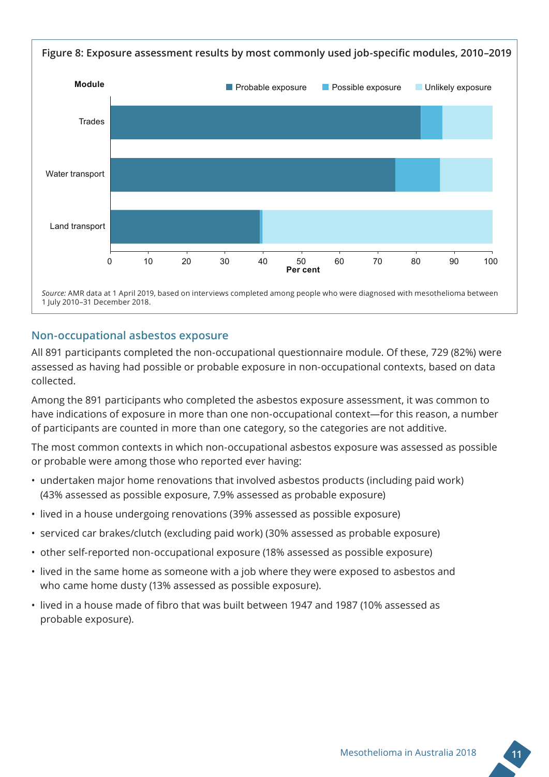

#### **Non-occupational asbestos exposure**

All 891 participants completed the non-occupational questionnaire module. Of these, 729 (82%) were assessed as having had possible or probable exposure in non-occupational contexts, based on data collected.

Among the 891 participants who completed the asbestos exposure assessment, it was common to have indications of exposure in more than one non-occupational context—for this reason, a number of participants are counted in more than one category, so the categories are not additive.

The most common contexts in which non-occupational asbestos exposure was assessed as possible or probable were among those who reported ever having:

- undertaken major home renovations that involved asbestos products (including paid work) (43% assessed as possible exposure, 7.9% assessed as probable exposure)
- lived in a house undergoing renovations (39% assessed as possible exposure)
- serviced car brakes/clutch (excluding paid work) (30% assessed as probable exposure)
- other self-reported non-occupational exposure (18% assessed as possible exposure)
- lived in the same home as someone with a job where they were exposed to asbestos and who came home dusty (13% assessed as possible exposure).
- lived in a house made of fibro that was built between 1947 and 1987 (10% assessed as probable exposure).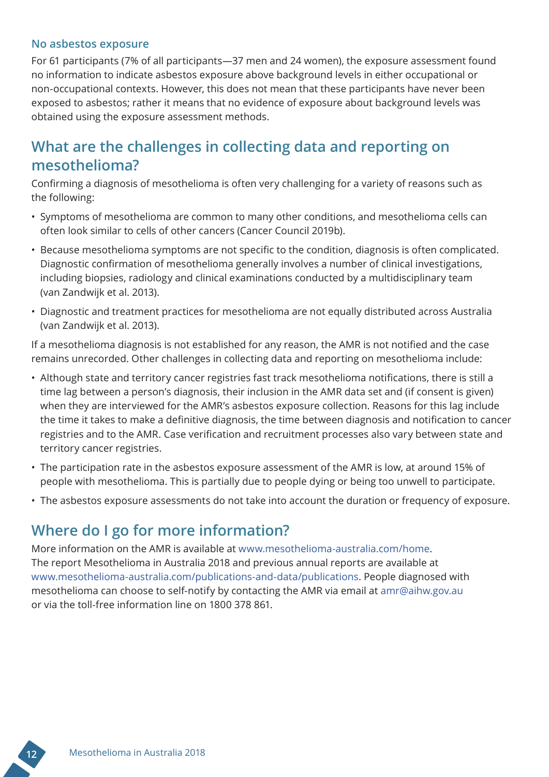#### **No asbestos exposure**

For 61 participants (7% of all participants—37 men and 24 women), the exposure assessment found no information to indicate asbestos exposure above background levels in either occupational or non-occupational contexts. However, this does not mean that these participants have never been exposed to asbestos; rather it means that no evidence of exposure about background levels was obtained using the exposure assessment methods.

### **What are the challenges in collecting data and reporting on mesothelioma?**

Confirming a diagnosis of mesothelioma is often very challenging for a variety of reasons such as the following:

- Symptoms of mesothelioma are common to many other conditions, and mesothelioma cells can often look similar to cells of other cancers (Cancer Council 2019b).
- Because mesothelioma symptoms are not specific to the condition, diagnosis is often complicated. Diagnostic confirmation of mesothelioma generally involves a number of clinical investigations, including biopsies, radiology and clinical examinations conducted by a multidisciplinary team (van Zandwijk et al. 2013).
- Diagnostic and treatment practices for mesothelioma are not equally distributed across Australia (van Zandwijk et al. 2013).

If a mesothelioma diagnosis is not established for any reason, the AMR is not notified and the case remains unrecorded. Other challenges in collecting data and reporting on mesothelioma include:

- Although state and territory cancer registries fast track mesothelioma notifications, there is still a time lag between a person's diagnosis, their inclusion in the AMR data set and (if consent is given) when they are interviewed for the AMR's asbestos exposure collection. Reasons for this lag include the time it takes to make a definitive diagnosis, the time between diagnosis and notification to cancer registries and to the AMR. Case verification and recruitment processes also vary between state and territory cancer registries.
- The participation rate in the asbestos exposure assessment of the AMR is low, at around 15% of people with mesothelioma. This is partially due to people dying or being too unwell to participate.
- The asbestos exposure assessments do not take into account the duration or frequency of exposure.

### **Where do I go for more information?**

More information on the AMR is available at www.mesothelioma-australia.com/home. The report Mesothelioma in Australia 2018 and previous annual reports are available at www.mesothelioma-australia.com/publications-and-data/publications. People diagnosed with mesothelioma can choose to self-notify by contacting the AMR via email at amr@aihw.gov.au or via the toll-free information line on 1800 378 861.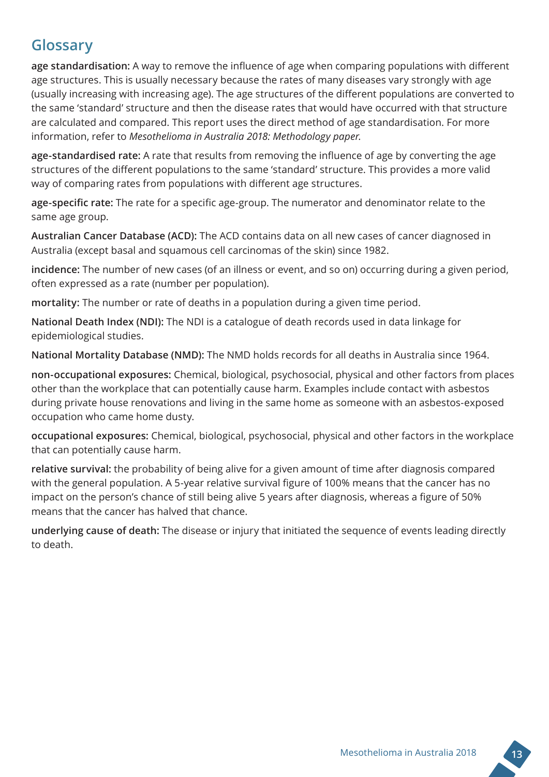### **Glossary**

**age standardisation:** A way to remove the influence of age when comparing populations with different age structures. This is usually necessary because the rates of many diseases vary strongly with age (usually increasing with increasing age). The age structures of the different populations are converted to the same 'standard' structure and then the disease rates that would have occurred with that structure are calculated and compared. This report uses the direct method of age standardisation. For more information, refer to *[Mesothelioma in Australia 2018: Methodology paper](https://www.aihw.gov.au/reports/cancer/mesothelioma-in-australia-2018/related-material)*.

**age-standardised rate:** A rate that results from removing the influence of age by converting the age structures of the different populations to the same 'standard' structure. This provides a more valid way of comparing rates from populations with different age structures.

**age-specific rate:** The rate for a specific age-group. The numerator and denominator relate to the same age group.

**Australian Cancer Database (ACD):** The ACD contains data on all new cases of cancer diagnosed in Australia (except basal and squamous cell carcinomas of the skin) since 1982.

**incidence:** The number of new cases (of an illness or event, and so on) occurring during a given period, often expressed as a rate (number per population).

**mortality:** The number or rate of deaths in a population during a given time period.

**National Death Index (NDI):** The NDI is a catalogue of death records used in data linkage for epidemiological studies.

**National Mortality Database (NMD):** The NMD holds records for all deaths in Australia since 1964.

**non-occupational exposures:** Chemical, biological, psychosocial, physical and other factors from places other than the workplace that can potentially cause harm. Examples include contact with asbestos during private house renovations and living in the same home as someone with an asbestos-exposed occupation who came home dusty.

**occupational exposures:** Chemical, biological, psychosocial, physical and other factors in the workplace that can potentially cause harm.

**relative survival:** the probability of being alive for a given amount of time after diagnosis compared with the general population. A 5-year relative survival figure of 100% means that the cancer has no impact on the person's chance of still being alive 5 years after diagnosis, whereas a figure of 50% means that the cancer has halved that chance.

**underlying cause of death:** The disease or injury that initiated the sequence of events leading directly to death.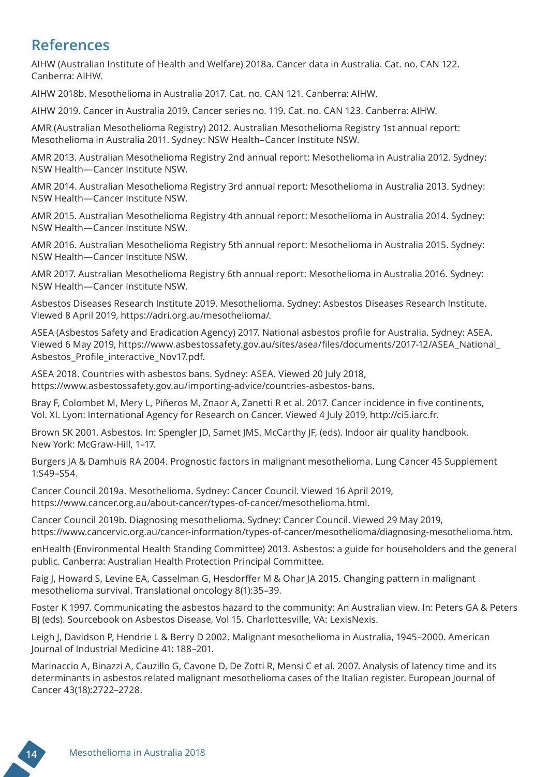### **References**

AIHW (Australian Institute of Health and Welfare) 2018a. Cancer data in Australia. Cat. no. CAN 122. Canberra: AIHW.

AIHW 2018b. Mesothelioma in Australia 2017. Cat. no. CAN 121. Canberra: AIHW.

AIHW 2019. Cancer in Australia 2019. Cancer series no. 119. Cat. no. CAN 123. Canberra: AIHW.

AMR (Australian Mesothelioma Registry) 2012. Australian Mesothelioma Registry 1st annual report: Mesothelioma in Australia 2011. Sydney: NSW Health–Cancer Institute NSW.

AMR 2013. Australian Mesothelioma Registry 2nd annual report: Mesothelioma in Australia 2012. Sydney: NSW Health—Cancer Institute NSW.

AMR 2014. Australian Mesothelioma Registry 3rd annual report: Mesothelioma in Australia 2013. Sydney: NSW Health—Cancer Institute NSW.

AMR 2015. Australian Mesothelioma Registry 4th annual report: Mesothelioma in Australia 2014. Sydney: NSW Health—Cancer Institute NSW.

AMR 2016. Australian Mesothelioma Registry 5th annual report: Mesothelioma in Australia 2015. Sydney: NSW Health—Cancer Institute NSW.

AMR 2017. Australian Mesothelioma Registry 6th annual report: Mesothelioma in Australia 2016. Sydney: NSW Health—Cancer Institute NSW.

Asbestos Diseases Research Institute 2019. Mesothelioma. Sydney: Asbestos Diseases Research Institute. Viewed 8 April 2019, https://adri.org.au/mesothelioma/.

ASEA (Asbestos Safety and Eradication Agency) 2017. National asbestos profile for Australia. Sydney: ASEA. Viewed 6 May 2019, https://www.asbestossafety.gov.au/sites/asea/files/documents/2017-12/ASEA\_National\_ Asbestos\_Profile\_interactive\_Nov17.pdf.

ASEA 2018. Countries with asbestos bans. Sydney: ASEA. Viewed 20 July 2018, https://www.asbestossafety.gov.au/importing-advice/countries-asbestos-bans.

Bray F, Colombet M, Mery L, Piñeros M, Znaor A, Zanetti R et al. 2017. Cancer incidence in five continents, Vol. XI. Lyon: International Agency for Research on Cancer. Viewed 4 July 2019, http://ci5.iarc.fr.

Brown SK 2001. Asbestos. In: Spengler JD, Samet JMS, McCarthy JF, (eds). Indoor air quality handbook. New York: McGraw-Hill, 1–17.

Burgers JA & Damhuis RA 2004. Prognostic factors in malignant mesothelioma. Lung Cancer 45 Supplement 1:S49–S54.

Cancer Council 2019a. Mesothelioma. Sydney: Cancer Council. Viewed 16 April 2019, https://www.cancer.org.au/about-cancer/types-of-cancer/mesothelioma.html.

Cancer Council 2019b. Diagnosing mesothelioma. Sydney: Cancer Council. Viewed 29 May 2019, https://www.cancervic.org.au/cancer-information/types-of-cancer/mesothelioma/diagnosing-mesothelioma.htm.

enHealth (Environmental Health Standing Committee) 2013. Asbestos: a guide for householders and the general public. Canberra: Australian Health Protection Principal Committee.

Faig J, Howard S, Levine EA, Casselman G, Hesdorffer M & Ohar JA 2015. Changing pattern in malignant mesothelioma survival. Translational oncology 8(1):35–39.

Foster K 1997. Communicating the asbestos hazard to the community: An Australian view. In: Peters GA & Peters BJ (eds). Sourcebook on Asbestos Disease, Vol 15. Charlottesville, VA: LexisNexis.

Leigh J, Davidson P, Hendrie L & Berry D 2002. Malignant mesothelioma in Australia, 1945–2000. American Journal of Industrial Medicine 41: 188–201.

Marinaccio A, Binazzi A, Cauzillo G, Cavone D, De Zotti R, Mensi C et al. 2007. Analysis of latency time and its determinants in asbestos related malignant mesothelioma cases of the Italian register. European Journal of Cancer 43(18):2722–2728.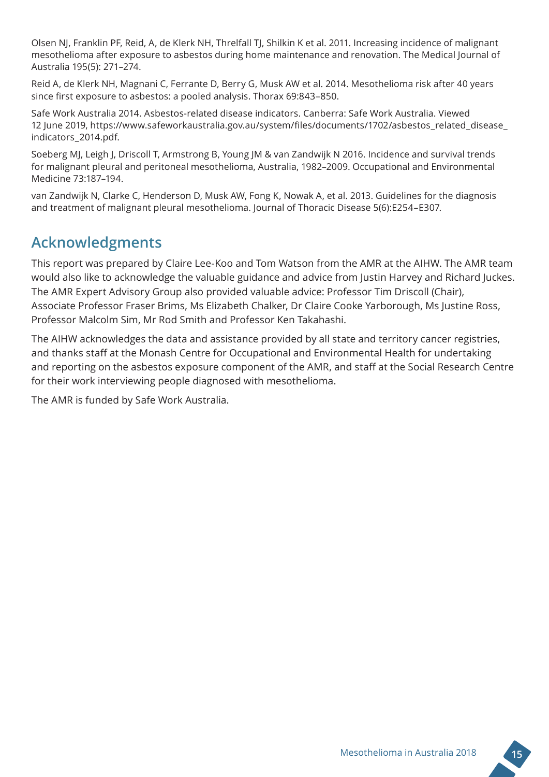Olsen NJ, Franklin PF, Reid, A, de Klerk NH, Threlfall TJ, Shilkin K et al. 2011. Increasing incidence of malignant mesothelioma after exposure to asbestos during home maintenance and renovation. The Medical Journal of Australia 195(5): 271–274.

Reid A, de Klerk NH, Magnani C, Ferrante D, Berry G, Musk AW et al. 2014. Mesothelioma risk after 40 years since first exposure to asbestos: a pooled analysis. Thorax 69:843–850.

Safe Work Australia 2014. Asbestos-related disease indicators. Canberra: Safe Work Australia. Viewed 12 June 2019, https://www.safeworkaustralia.gov.au/system/files/documents/1702/asbestos\_related\_disease\_ indicators\_2014.pdf.

Soeberg MJ, Leigh J, Driscoll T, Armstrong B, Young JM & van Zandwijk N 2016. Incidence and survival trends for malignant pleural and peritoneal mesothelioma, Australia, 1982–2009. Occupational and Environmental Medicine 73:187–194.

van Zandwijk N, Clarke C, Henderson D, Musk AW, Fong K, Nowak A, et al. 2013. Guidelines for the diagnosis and treatment of malignant pleural mesothelioma. Journal of Thoracic Disease 5(6):E254–E307.

### **Acknowledgments**

This report was prepared by Claire Lee-Koo and Tom Watson from the AMR at the AIHW. The AMR team would also like to acknowledge the valuable guidance and advice from Justin Harvey and Richard Juckes. The AMR Expert Advisory Group also provided valuable advice: Professor Tim Driscoll (Chair), Associate Professor Fraser Brims, Ms Elizabeth Chalker, Dr Claire Cooke Yarborough, Ms Justine Ross, Professor Malcolm Sim, Mr Rod Smith and Professor Ken Takahashi.

The AIHW acknowledges the data and assistance provided by all state and territory cancer registries, and thanks staff at the Monash Centre for Occupational and Environmental Health for undertaking and reporting on the asbestos exposure component of the AMR, and staff at the Social Research Centre for their work interviewing people diagnosed with mesothelioma.

The AMR is funded by Safe Work Australia.